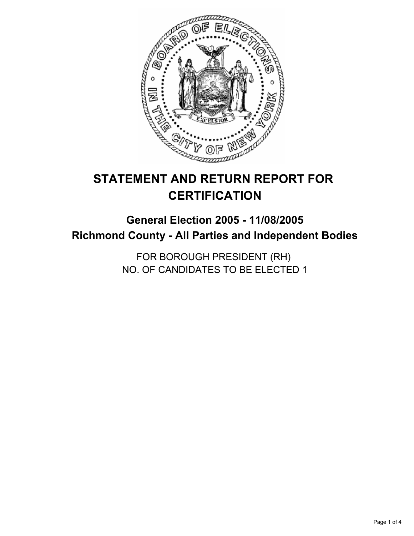

# **STATEMENT AND RETURN REPORT FOR CERTIFICATION**

# **General Election 2005 - 11/08/2005 Richmond County - All Parties and Independent Bodies**

FOR BOROUGH PRESIDENT (RH) NO. OF CANDIDATES TO BE ELECTED 1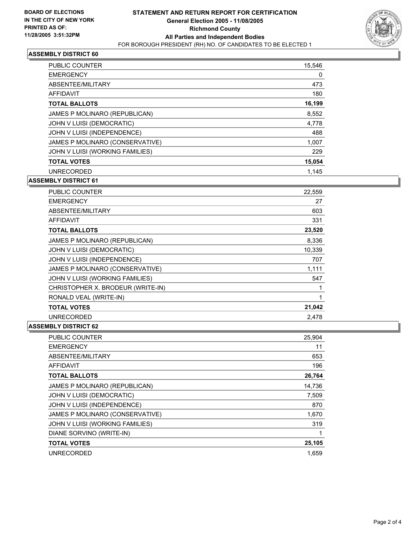

#### **ASSEMBLY DISTRICT 60**

| <b>PUBLIC COUNTER</b>           | 15,546 |
|---------------------------------|--------|
| <b>EMERGENCY</b>                | 0      |
| ABSENTEE/MILITARY               | 473    |
| <b>AFFIDAVIT</b>                | 180    |
| <b>TOTAL BALLOTS</b>            | 16,199 |
| JAMES P MOLINARO (REPUBLICAN)   | 8,552  |
| JOHN V LUISI (DEMOCRATIC)       | 4,778  |
| JOHN V LUISI (INDEPENDENCE)     | 488    |
| JAMES P MOLINARO (CONSERVATIVE) | 1,007  |
| JOHN V LUISI (WORKING FAMILIES) | 229    |
| <b>TOTAL VOTES</b>              | 15,054 |
| <b>UNRECORDED</b>               | 1.145  |

**ASSEMBLY DISTRICT 61**

| <b>PUBLIC COUNTER</b>             | 22,559 |
|-----------------------------------|--------|
| <b>EMERGENCY</b>                  | 27     |
| ABSENTEE/MILITARY                 | 603    |
| AFFIDAVIT                         | 331    |
| <b>TOTAL BALLOTS</b>              | 23,520 |
| JAMES P MOLINARO (REPUBLICAN)     | 8,336  |
| JOHN V LUISI (DEMOCRATIC)         | 10,339 |
| JOHN V LUISI (INDEPENDENCE)       | 707    |
| JAMES P MOLINARO (CONSERVATIVE)   | 1,111  |
| JOHN V LUISI (WORKING FAMILIES)   | 547    |
| CHRISTOPHER X. BRODEUR (WRITE-IN) |        |
| RONALD VEAL (WRITE-IN)            |        |
| <b>TOTAL VOTES</b>                | 21,042 |
| <b>UNRECORDED</b>                 | 2.478  |

#### **ASSEMBLY DISTRICT 62**

| PUBLIC COUNTER                  | 25,904 |
|---------------------------------|--------|
| <b>EMERGENCY</b>                | 11     |
| ABSENTEE/MILITARY               | 653    |
| AFFIDAVIT                       | 196    |
| <b>TOTAL BALLOTS</b>            | 26,764 |
| JAMES P MOLINARO (REPUBLICAN)   | 14,736 |
| JOHN V LUISI (DEMOCRATIC)       | 7,509  |
| JOHN V LUISI (INDEPENDENCE)     | 870    |
| JAMES P MOLINARO (CONSERVATIVE) | 1,670  |
| JOHN V LUISI (WORKING FAMILIES) | 319    |
| DIANE SORVINO (WRITE-IN)        |        |
| <b>TOTAL VOTES</b>              | 25,105 |
| <b>UNRECORDED</b>               | 1.659  |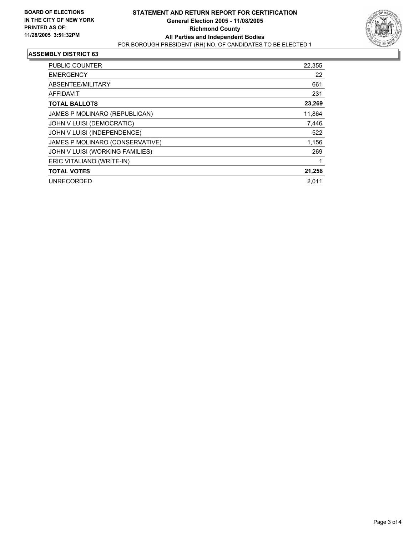

#### **ASSEMBLY DISTRICT 63**

| PUBLIC COUNTER                  | 22,355 |
|---------------------------------|--------|
| <b>EMERGENCY</b>                | 22     |
| ABSENTEE/MILITARY               | 661    |
| AFFIDAVIT                       | 231    |
| <b>TOTAL BALLOTS</b>            | 23,269 |
| JAMES P MOLINARO (REPUBLICAN)   | 11,864 |
| JOHN V LUISI (DEMOCRATIC)       | 7,446  |
| JOHN V LUISI (INDEPENDENCE)     | 522    |
| JAMES P MOLINARO (CONSERVATIVE) | 1,156  |
| JOHN V LUISI (WORKING FAMILIES) | 269    |
| ERIC VITALIANO (WRITE-IN)       |        |
| <b>TOTAL VOTES</b>              | 21,258 |
| <b>UNRECORDED</b>               | 2.011  |